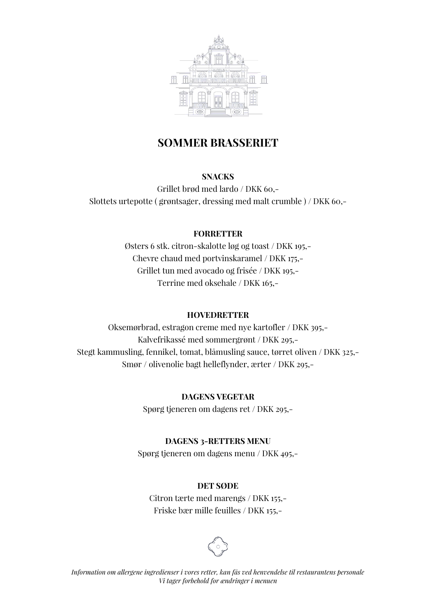

# **SOMMER BRASSERIET**

### **SNACKS**

Grillet brød med lardo / DKK 60,- Slottets urtepotte ( grøntsager, dressing med malt crumble ) / DKK 60,-

### **FORRETTER**

Østers 6 stk. citron-skalotte løg og toast / DKK 195,- Chevre chaud med portvinskaramel / DKK 175,- Grillet tun med avocado og frisée / DKK 195,- Terrine med oksehale / DKK 165,-

#### **HOVEDRETTER**

Oksemørbrad, estragon creme med nye kartofler / DKK 395,- Kalvefrikassé med sommergrønt / DKK 295,- Stegt kammusling, fennikel, tomat, blåmusling sauce, tørret oliven / DKK 325,- Smør / olivenolie bagt helleflynder, ærter / DKK 295,-

> **DAGENS VEGETAR** Spørg tjeneren om dagens ret / DKK 295,-

#### **DAGENS 3-RETTERS MENU**

Spørg tjeneren om dagens menu / DKK 495,-

### **DET SØDE**

Citron tærte med marengs / DKK 155,- Friske bær mille feuilles / DKK 155,-



*Information om allergene ingredienser i vores retter, kan fås ved henvendelse til restaurantens personale Vi tager forbehold for ændringer i menuen*